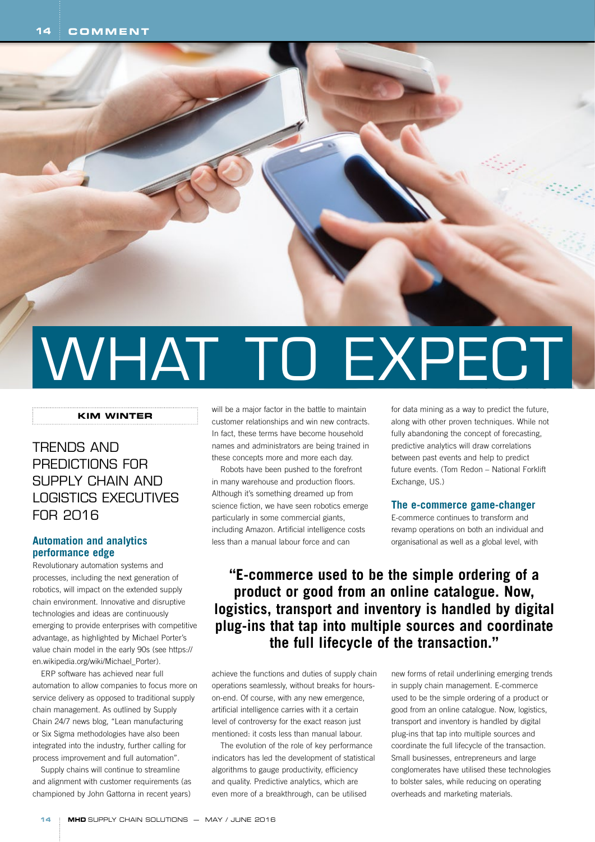# WHAT TO EXPECT

### **KIM WINTER**

## TRENDS AND PREDICTIONS FOR SUPPLY CHAIN AND LOGISTICS EXECUTIVES FOR 2016

## **Automation and analytics performance edge**

Revolutionary automation systems and processes, including the next generation of robotics, will impact on the extended supply chain environment. Innovative and disruptive technologies and ideas are continuously emerging to provide enterprises with competitive advantage, as highlighted by Michael Porter's value chain model in the early 90s (see https:// en.wikipedia.org/wiki/Michael\_Porter).

ERP software has achieved near full automation to allow companies to focus more on service delivery as opposed to traditional supply chain management. As outlined by Supply Chain 24/7 news blog, "Lean manufacturing or Six Sigma methodologies have also been integrated into the industry, further calling for process improvement and full automation".

Supply chains will continue to streamline and alignment with customer requirements (as championed by John Gattorna in recent years) will be a major factor in the battle to maintain customer relationships and win new contracts. In fact, these terms have become household names and administrators are being trained in these concepts more and more each day.

Robots have been pushed to the forefront in many warehouse and production floors. Although it's something dreamed up from science fiction, we have seen robotics emerge particularly in some commercial giants, including Amazon. Artificial intelligence costs less than a manual labour force and can

for data mining as a way to predict the future, along with other proven techniques. While not fully abandoning the concept of forecasting. predictive analytics will draw correlations between past events and help to predict future events. (Tom Redon – National Forklift Exchange, US.)

## **The e-commerce game-changer**

E-commerce continues to transform and revamp operations on both an individual and organisational as well as a global level, with

# **"E-commerce used to be the simple ordering of a product or good from an online catalogue. Now, logistics, transport and inventory is handled by digital plug-ins that tap into multiple sources and coordinate the full lifecycle of the transaction."**

achieve the functions and duties of supply chain operations seamlessly, without breaks for hourson-end. Of course, with any new emergence, artificial intelligence carries with it a certain level of controversy for the exact reason just mentioned: it costs less than manual labour.

The evolution of the role of key performance indicators has led the development of statistical algorithms to gauge productivity, efficiency and quality. Predictive analytics, which are even more of a breakthrough, can be utilised

new forms of retail underlining emerging trends in supply chain management. E-commerce used to be the simple ordering of a product or good from an online catalogue. Now, logistics, transport and inventory is handled by digital plug-ins that tap into multiple sources and coordinate the full lifecycle of the transaction. Small businesses, entrepreneurs and large conglomerates have utilised these technologies to bolster sales, while reducing on operating overheads and marketing materials.